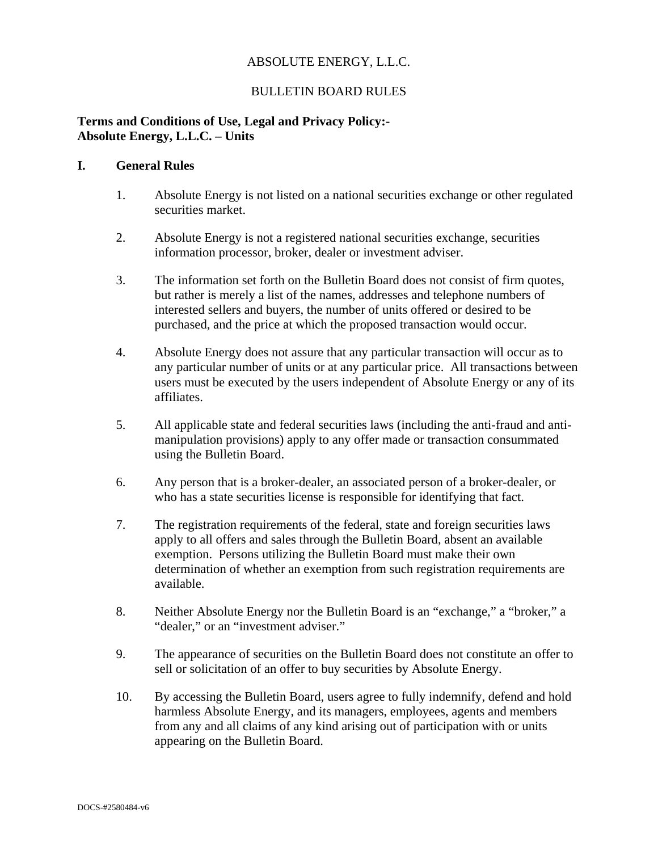# ABSOLUTE ENERGY, L.L.C.

# BULLETIN BOARD RULES

### **Terms and Conditions of Use, Legal and Privacy Policy:- Absolute Energy, L.L.C. – Units**

### **I. General Rules**

- 1. Absolute Energy is not listed on a national securities exchange or other regulated securities market.
- 2. Absolute Energy is not a registered national securities exchange, securities information processor, broker, dealer or investment adviser.
- 3. The information set forth on the Bulletin Board does not consist of firm quotes, but rather is merely a list of the names, addresses and telephone numbers of interested sellers and buyers, the number of units offered or desired to be purchased, and the price at which the proposed transaction would occur.
- 4. Absolute Energy does not assure that any particular transaction will occur as to any particular number of units or at any particular price. All transactions between users must be executed by the users independent of Absolute Energy or any of its affiliates.
- 5. All applicable state and federal securities laws (including the anti-fraud and antimanipulation provisions) apply to any offer made or transaction consummated using the Bulletin Board.
- 6. Any person that is a broker-dealer, an associated person of a broker-dealer, or who has a state securities license is responsible for identifying that fact.
- 7. The registration requirements of the federal, state and foreign securities laws apply to all offers and sales through the Bulletin Board, absent an available exemption. Persons utilizing the Bulletin Board must make their own determination of whether an exemption from such registration requirements are available.
- 8. Neither Absolute Energy nor the Bulletin Board is an "exchange," a "broker," a "dealer," or an "investment adviser."
- 9. The appearance of securities on the Bulletin Board does not constitute an offer to sell or solicitation of an offer to buy securities by Absolute Energy.
- 10. By accessing the Bulletin Board, users agree to fully indemnify, defend and hold harmless Absolute Energy, and its managers, employees, agents and members from any and all claims of any kind arising out of participation with or units appearing on the Bulletin Board.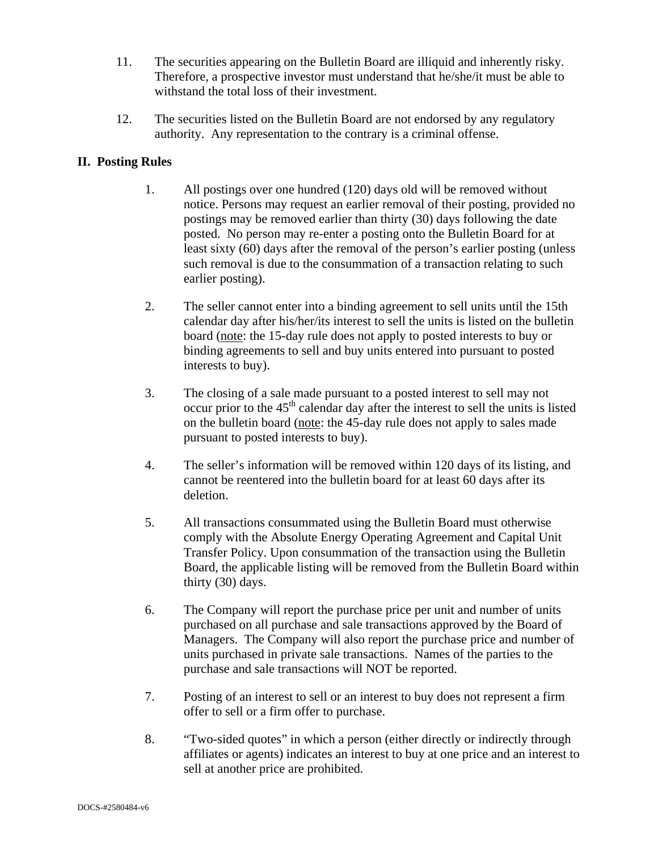- 11. The securities appearing on the Bulletin Board are illiquid and inherently risky. Therefore, a prospective investor must understand that he/she/it must be able to withstand the total loss of their investment.
- 12. The securities listed on the Bulletin Board are not endorsed by any regulatory authority. Any representation to the contrary is a criminal offense.

## **II. Posting Rules**

- 1. All postings over one hundred (120) days old will be removed without notice. Persons may request an earlier removal of their posting, provided no postings may be removed earlier than thirty (30) days following the date posted. No person may re-enter a posting onto the Bulletin Board for at least sixty (60) days after the removal of the person's earlier posting (unless such removal is due to the consummation of a transaction relating to such earlier posting).
- 2. The seller cannot enter into a binding agreement to sell units until the 15th calendar day after his/her/its interest to sell the units is listed on the bulletin board (note: the 15-day rule does not apply to posted interests to buy or binding agreements to sell and buy units entered into pursuant to posted interests to buy).
- 3. The closing of a sale made pursuant to a posted interest to sell may not occur prior to the  $45<sup>th</sup>$  calendar day after the interest to sell the units is listed on the bulletin board (note: the 45-day rule does not apply to sales made pursuant to posted interests to buy).
- 4. The seller's information will be removed within 120 days of its listing, and cannot be reentered into the bulletin board for at least 60 days after its deletion.
- 5. All transactions consummated using the Bulletin Board must otherwise comply with the Absolute Energy Operating Agreement and Capital Unit Transfer Policy. Upon consummation of the transaction using the Bulletin Board, the applicable listing will be removed from the Bulletin Board within thirty (30) days.
- 6. The Company will report the purchase price per unit and number of units purchased on all purchase and sale transactions approved by the Board of Managers. The Company will also report the purchase price and number of units purchased in private sale transactions. Names of the parties to the purchase and sale transactions will NOT be reported.
- 7. Posting of an interest to sell or an interest to buy does not represent a firm offer to sell or a firm offer to purchase.
- 8. "Two-sided quotes" in which a person (either directly or indirectly through affiliates or agents) indicates an interest to buy at one price and an interest to sell at another price are prohibited.